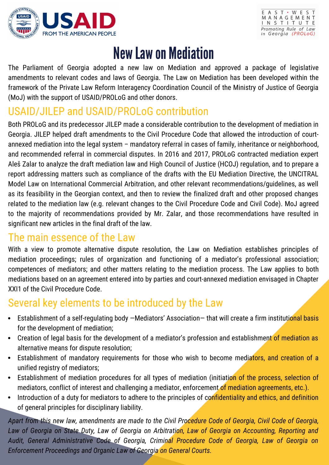



# New Law on Mediation

The Parliament of Georgia adopted a new law on Mediation and approved a package of legislative amendments to relevant codes and laws of Georgia. The Law on Mediation has been developed within the framework of the Private Law Reform Interagency Coordination Council of the Ministry of Justice of Georgia (MoJ) with the support of USAID/PROLoG and other donors.

### USAID/JILEP and USAID/PROLoG contribution

Both PROLoG and its predecessor JILEP made a considerable contribution to the development of mediation in Georgia. JILEP helped draft amendments to the Civil Procedure Code that allowed the introduction of courtannexed mediation into the legal system – mandatory referral in cases of family, inheritance or neighborhood, and recommended referral in commercial disputes. In 2016 and 2017, PROLoG contracted mediation expert Aleš Zalar to analyze the draft mediation law and High Council of Justice (HCOJ) regulation, and to prepare a report addressing matters such as compliance of the drafts with the EU Mediation Directive, the UNCITRAL Model Law on International Commercial Arbitration, and other relevant recommendations/guidelines, as well as its feasibility in the Georgian context, and then to review the finalized draft and other proposed changes related to the mediation law (e.g. relevant changes to the Civil Procedure Code and Civil Code). MoJ agreed to the majority of recommendations provided by Mr. Zalar, and those recommendations have resulted in significant new articles in the final draft of the law.

#### The main essence of the Law

With a view to promote alternative dispute resolution, the Law on Mediation establishes principles of mediation proceedings; rules of organization and functioning of a mediator's professional association; competences of mediators; and other matters relating to the mediation process. The Law applies to both mediations based on an agreement entered into by parties and court-annexed mediation envisaged in Chapter XXI1 of the Civil Procedure Code.

#### Several key elements to be introduced by the Law

- Establishment of a self-regulating body -Mediators' Association- that will create a firm institutional basis for the development of mediation;
- Creation of legal basis for the development of a mediator's profession and establishment of mediation as alternative means for dispute resolution;
- Establishment of mandatory requirements for those who wish to become mediators, and creation of a unified registry of mediators;
- Establishment of mediation procedures for all types of mediation (initiation of the process, selection of mediators, conflict of interest and challenging a mediator, enforcement of mediation agreements, etc.).
- Introduction of a duty for mediators to adhere to the principles of confidentiality and ethics, and definition of general principles for disciplinary liability.

Apart from this new law, amendments are made to the Civil Procedure Code of Georgia, Civil Code of Georgia, Law of Georgia on State Duty, Law of Georgia on Arbitration, Law of Georgia on Accounting, Reporting and *Audit, General Administrative Code of Georgia, Criminal Procedure Code of Georgia, Law of Georgia on Enforcement Proceedings and Organic Law of Georgia on General Courts.*